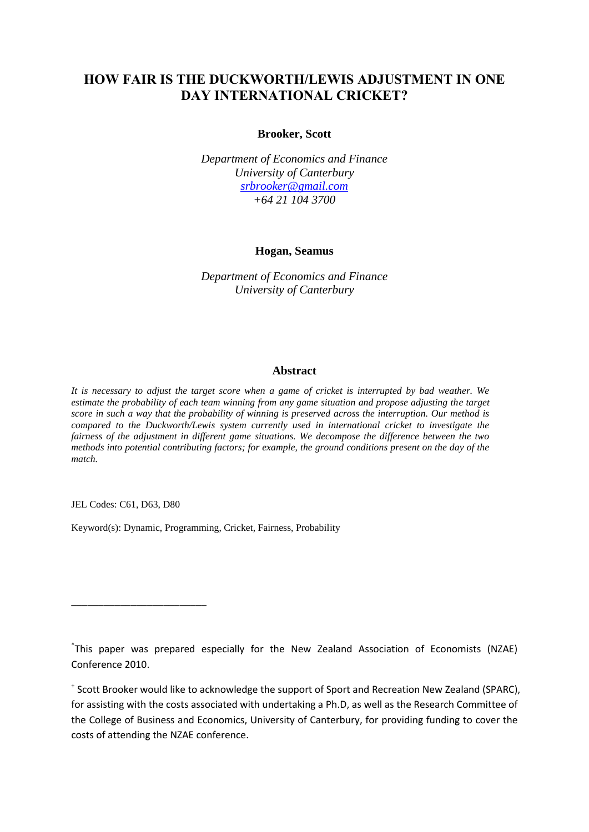## **HOW FAIR IS THE DUCKWORTH/LEWIS ADJUSTMENT IN ONE DAY INTERNATIONAL CRICKET?**

#### **Brooker, Scott**

*Department of Economics and Finance University of Canterbury [srbrooker@gmail.com](mailto:srbrooker@gmail.com) +64 21 104 3700*

#### **Hogan, Seamus**

*Department of Economics and Finance University of Canterbury*

#### **Abstract**

*It is necessary to adjust the target score when a game of cricket is interrupted by bad weather. We estimate the probability of each team winning from any game situation and propose adjusting the target score in such a way that the probability of winning is preserved across the interruption. Our method is compared to the Duckworth/Lewis system currently used in international cricket to investigate the fairness of the adjustment in different game situations. We decompose the difference between the two methods into potential contributing factors; for example, the ground conditions present on the day of the match.*

JEL Codes: C61, D63, D80

\_\_\_\_\_\_\_\_\_\_\_\_\_\_\_\_\_\_\_\_\_\_\_\_\_

Keyword(s): Dynamic, Programming, Cricket, Fairness, Probability

<sup>\*</sup> This paper was prepared especially for the New Zealand Association of Economists (NZAE) Conference 2010.

<sup>+</sup> Scott Brooker would like to acknowledge the support of Sport and Recreation New Zealand (SPARC), for assisting with the costs associated with undertaking a Ph.D, as well as the Research Committee of the College of Business and Economics, University of Canterbury, for providing funding to cover the costs of attending the NZAE conference.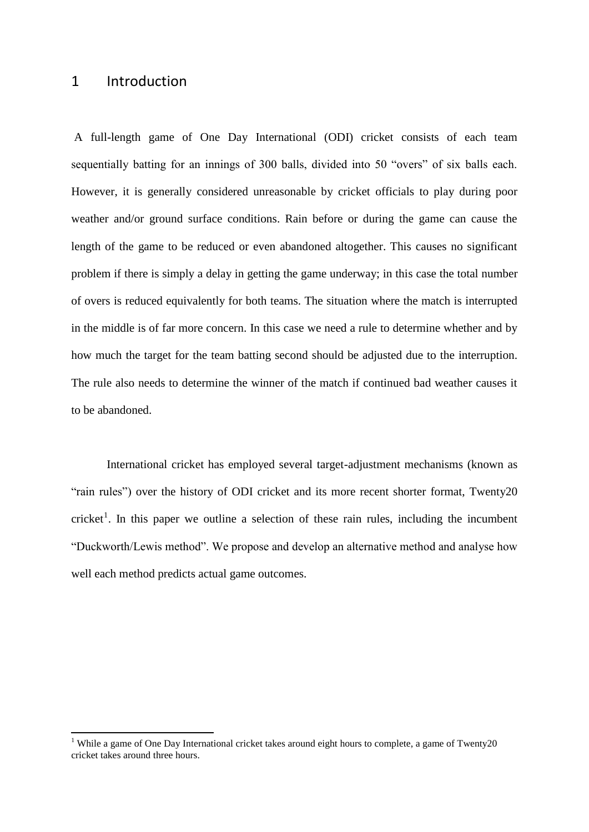### 1 Introduction

**.** 

A full-length game of One Day International (ODI) cricket consists of each team sequentially batting for an innings of 300 balls, divided into 50 "overs" of six balls each. However, it is generally considered unreasonable by cricket officials to play during poor weather and/or ground surface conditions. Rain before or during the game can cause the length of the game to be reduced or even abandoned altogether. This causes no significant problem if there is simply a delay in getting the game underway; in this case the total number of overs is reduced equivalently for both teams. The situation where the match is interrupted in the middle is of far more concern. In this case we need a rule to determine whether and by how much the target for the team batting second should be adjusted due to the interruption. The rule also needs to determine the winner of the match if continued bad weather causes it to be abandoned.

International cricket has employed several target-adjustment mechanisms (known as "rain rules") over the history of ODI cricket and its more recent shorter format, Twenty20 cricket<sup>1</sup>. In this paper we outline a selection of these rain rules, including the incumbent "Duckworth/Lewis method". We propose and develop an alternative method and analyse how well each method predicts actual game outcomes.

<sup>&</sup>lt;sup>1</sup> While a game of One Day International cricket takes around eight hours to complete, a game of Twenty20 cricket takes around three hours.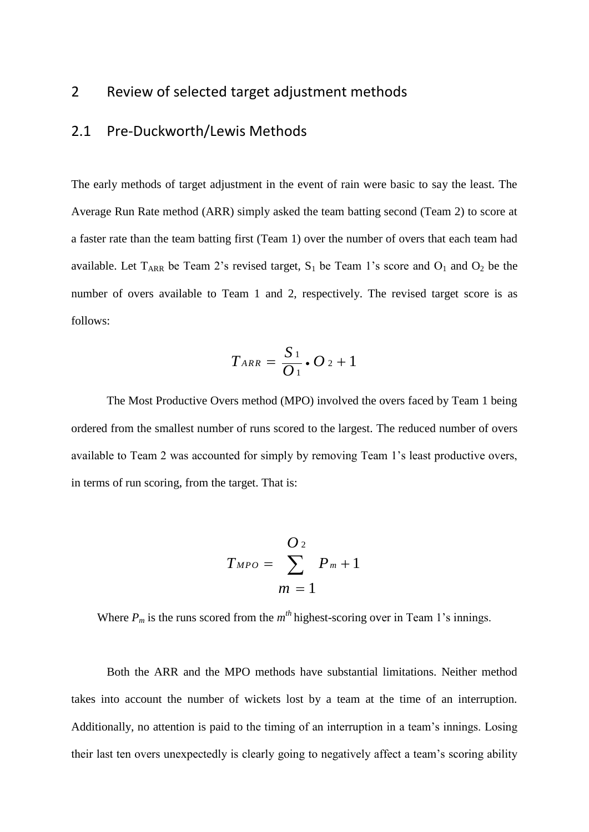## 2 Review of selected target adjustment methods

## 2.1 Pre-Duckworth/Lewis Methods

The early methods of target adjustment in the event of rain were basic to say the least. The Average Run Rate method (ARR) simply asked the team batting second (Team 2) to score at a faster rate than the team batting first (Team 1) over the number of overs that each team had available. Let  $T_{ARR}$  be Team 2's revised target,  $S_1$  be Team 1's score and  $O_1$  and  $O_2$  be the number of overs available to Team 1 and 2, respectively. The revised target score is as follows:

$$
T_{ARR}=\frac{S_1}{O_1}\cdot O_2+1
$$

The Most Productive Overs method (MPO) involved the overs faced by Team 1 being ordered from the smallest number of runs scored to the largest. The reduced number of overs available to Team 2 was accounted for simply by removing Team 1's least productive overs, in terms of run scoring, from the target. That is:

$$
T_{MPO} = \sum_{m=1}^{O_2} P_m + 1
$$

Where  $P_m$  is the runs scored from the  $m<sup>th</sup>$  highest-scoring over in Team 1's innings.

Both the ARR and the MPO methods have substantial limitations. Neither method takes into account the number of wickets lost by a team at the time of an interruption. Additionally, no attention is paid to the timing of an interruption in a team's innings. Losing their last ten overs unexpectedly is clearly going to negatively affect a team's scoring ability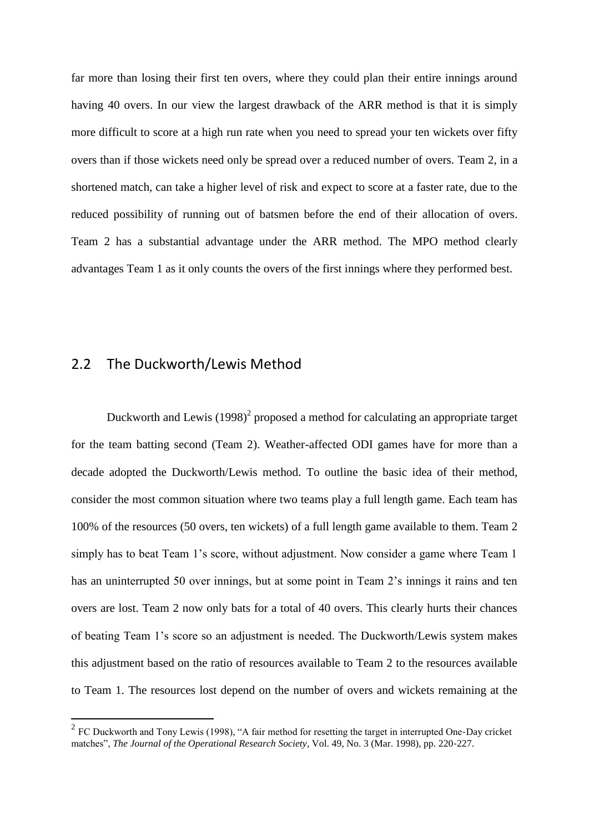far more than losing their first ten overs, where they could plan their entire innings around having 40 overs. In our view the largest drawback of the ARR method is that it is simply more difficult to score at a high run rate when you need to spread your ten wickets over fifty overs than if those wickets need only be spread over a reduced number of overs. Team 2, in a shortened match, can take a higher level of risk and expect to score at a faster rate, due to the reduced possibility of running out of batsmen before the end of their allocation of overs. Team 2 has a substantial advantage under the ARR method. The MPO method clearly advantages Team 1 as it only counts the overs of the first innings where they performed best.

## 2.2 The Duckworth/Lewis Method

 $\overline{\phantom{a}}$ 

Duckworth and Lewis  $(1998)^2$  proposed a method for calculating an appropriate target for the team batting second (Team 2). Weather-affected ODI games have for more than a decade adopted the Duckworth/Lewis method. To outline the basic idea of their method, consider the most common situation where two teams play a full length game. Each team has 100% of the resources (50 overs, ten wickets) of a full length game available to them. Team 2 simply has to beat Team 1's score, without adjustment. Now consider a game where Team 1 has an uninterrupted 50 over innings, but at some point in Team 2's innings it rains and ten overs are lost. Team 2 now only bats for a total of 40 overs. This clearly hurts their chances of beating Team 1's score so an adjustment is needed. The Duckworth/Lewis system makes this adjustment based on the ratio of resources available to Team 2 to the resources available to Team 1. The resources lost depend on the number of overs and wickets remaining at the

<sup>&</sup>lt;sup>2</sup> FC Duckworth and Tony Lewis (1998), "A fair method for resetting the target in interrupted One-Day cricket matches", *The Journal of the Operational Research Society*, Vol. 49, No. 3 (Mar. 1998), pp. 220‐227.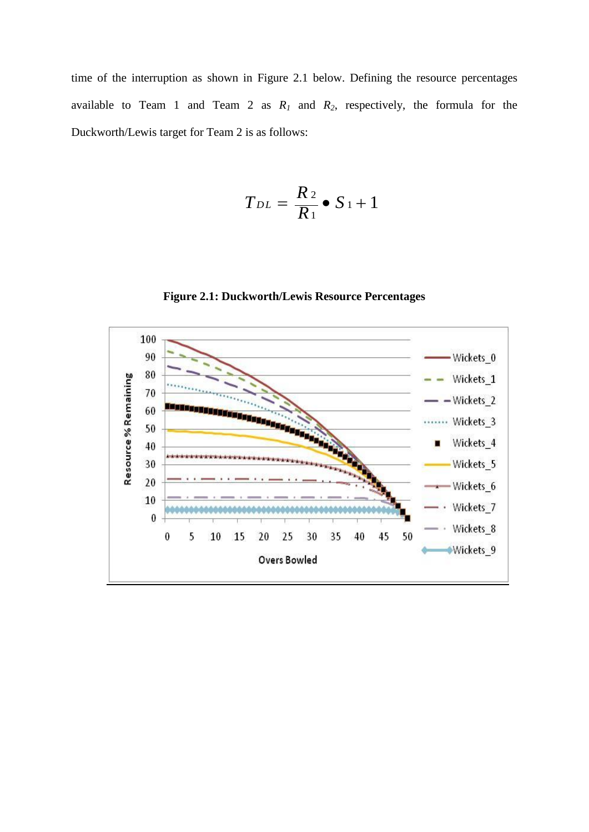time of the interruption as shown in Figure 2.1 below. Defining the resource percentages available to Team 1 and Team 2 as  $R_1$  and  $R_2$ , respectively, the formula for the Duckworth/Lewis target for Team 2 is as follows:

$$
T_{DL}=\frac{R_2}{R_1}\bullet S_1+1
$$

100 90 Wickets\_0 80 Resource % Remaining Wickets\_1 70 -Wickets\_2 60 ·· Wickets\_3 **START** 50 Wickets\_4 40 Wickets\_5 30  $20$ Wickets\_6 10 Wickets\_7  $\bf{0}$ Wickets\_8  $\bf{0}$ 5  $10$ 15 20 25 30 35 40 45 50 Wickets\_9 **Overs Bowled** 

**Figure 2.1: Duckworth/Lewis Resource Percentages**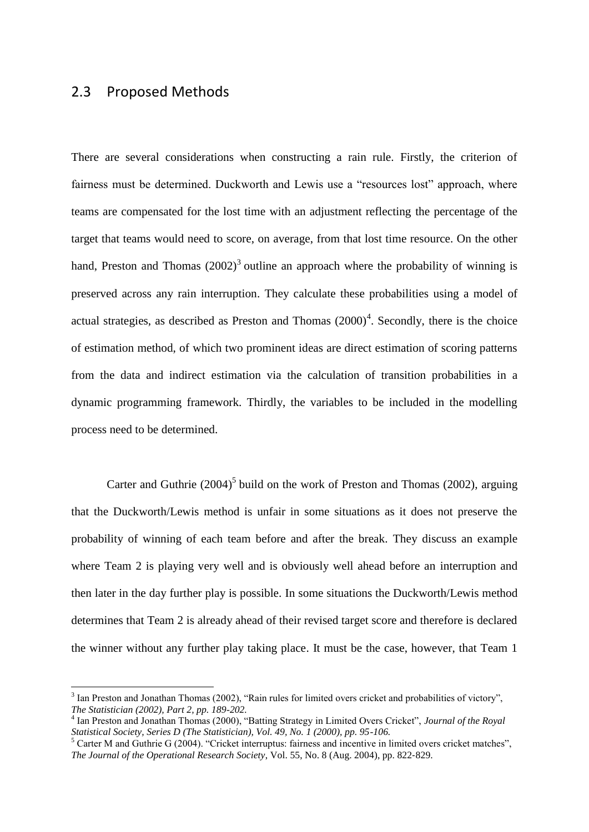# 2.3 Proposed Methods

**.** 

There are several considerations when constructing a rain rule. Firstly, the criterion of fairness must be determined. Duckworth and Lewis use a "resources lost" approach, where teams are compensated for the lost time with an adjustment reflecting the percentage of the target that teams would need to score, on average, from that lost time resource. On the other hand, Preston and Thomas  $(2002)^3$  outline an approach where the probability of winning is preserved across any rain interruption. They calculate these probabilities using a model of actual strategies, as described as Preston and Thomas  $(2000)^4$ . Secondly, there is the choice of estimation method, of which two prominent ideas are direct estimation of scoring patterns from the data and indirect estimation via the calculation of transition probabilities in a dynamic programming framework. Thirdly, the variables to be included in the modelling process need to be determined.

Carter and Guthrie  $(2004)^5$  build on the work of Preston and Thomas (2002), arguing that the Duckworth/Lewis method is unfair in some situations as it does not preserve the probability of winning of each team before and after the break. They discuss an example where Team 2 is playing very well and is obviously well ahead before an interruption and then later in the day further play is possible. In some situations the Duckworth/Lewis method determines that Team 2 is already ahead of their revised target score and therefore is declared the winner without any further play taking place. It must be the case, however, that Team 1

<sup>&</sup>lt;sup>3</sup> Ian Preston and Jonathan Thomas (2002), "Rain rules for limited overs cricket and probabilities of victory", *The Statistician (2002), Part 2, pp. 189-202.*

<sup>4</sup> Ian Preston and Jonathan Thomas (2000), "Batting Strategy in Limited Overs Cricket", *Journal of the Royal Statistical Society, Series D (The Statistician), Vol. 49, No. 1 (2000), pp. 95-106.*

<sup>&</sup>lt;sup>5</sup> Carter M and Guthrie G (2004). "Cricket interruptus: fairness and incentive in limited overs cricket matches", *The Journal of the Operational Research Society*, Vol. 55, No. 8 (Aug. 2004), pp. 822‐829.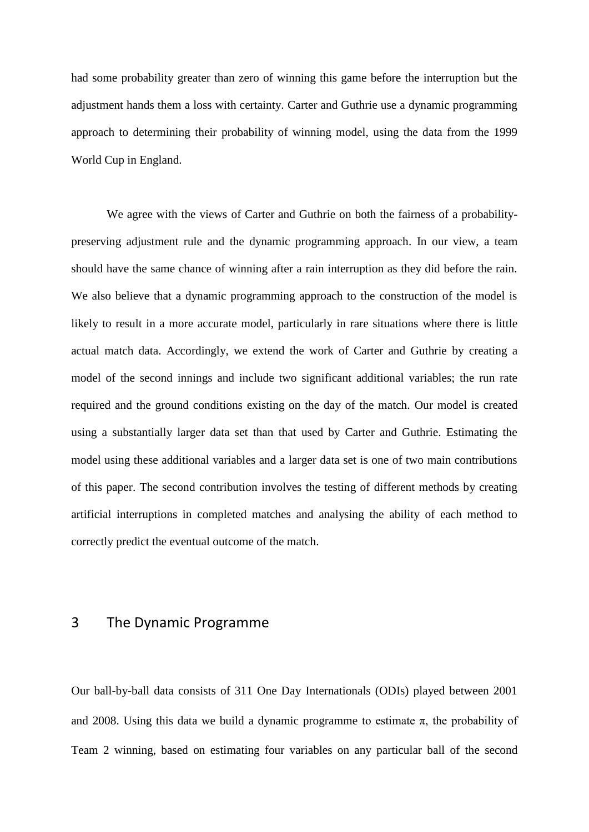had some probability greater than zero of winning this game before the interruption but the adjustment hands them a loss with certainty. Carter and Guthrie use a dynamic programming approach to determining their probability of winning model, using the data from the 1999 World Cup in England.

We agree with the views of Carter and Guthrie on both the fairness of a probabilitypreserving adjustment rule and the dynamic programming approach. In our view, a team should have the same chance of winning after a rain interruption as they did before the rain. We also believe that a dynamic programming approach to the construction of the model is likely to result in a more accurate model, particularly in rare situations where there is little actual match data. Accordingly, we extend the work of Carter and Guthrie by creating a model of the second innings and include two significant additional variables; the run rate required and the ground conditions existing on the day of the match. Our model is created using a substantially larger data set than that used by Carter and Guthrie. Estimating the model using these additional variables and a larger data set is one of two main contributions of this paper. The second contribution involves the testing of different methods by creating artificial interruptions in completed matches and analysing the ability of each method to correctly predict the eventual outcome of the match.

### 3 The Dynamic Programme

Our ball-by-ball data consists of 311 One Day Internationals (ODIs) played between 2001 and 2008. Using this data we build a dynamic programme to estimate  $\pi$ , the probability of Team 2 winning, based on estimating four variables on any particular ball of the second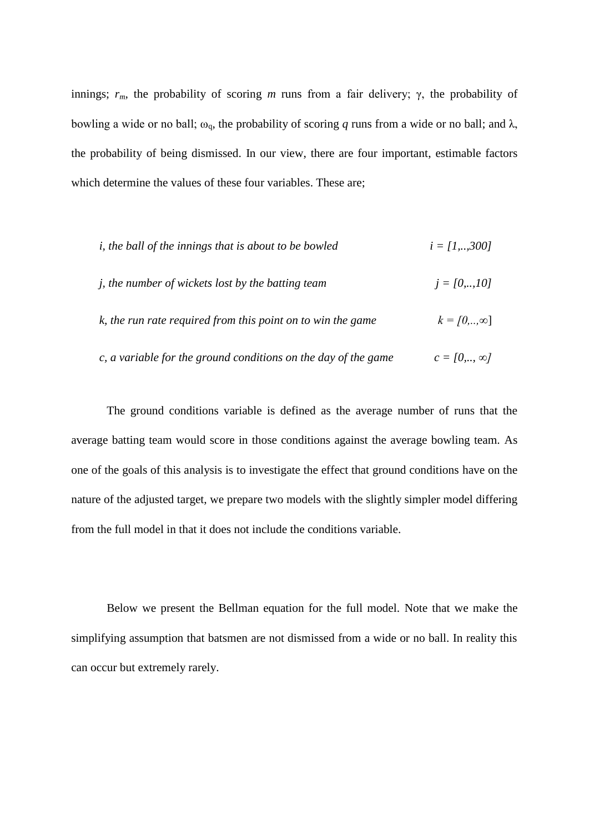innings;  $r_m$ , the probability of scoring *m* runs from a fair delivery;  $\gamma$ , the probability of bowling a wide or no ball;  $\omega_q$ , the probability of scoring q runs from a wide or no ball; and  $\lambda$ , the probability of being dismissed. In our view, there are four important, estimable factors which determine the values of these four variables. These are;

| <i>i, the ball of the innings that is about to be bowled</i>   | $i = [1, , 300]$          |
|----------------------------------------------------------------|---------------------------|
| <i>i, the number of wickets lost by the batting team</i>       | $j = [0,,10]$             |
| k, the run rate required from this point on to win the game    | $k = [0, , \infty]$       |
| c, a variable for the ground conditions on the day of the game | $c = [0, \ldots, \infty]$ |

The ground conditions variable is defined as the average number of runs that the average batting team would score in those conditions against the average bowling team. As one of the goals of this analysis is to investigate the effect that ground conditions have on the nature of the adjusted target, we prepare two models with the slightly simpler model differing from the full model in that it does not include the conditions variable.

Below we present the Bellman equation for the full model. Note that we make the simplifying assumption that batsmen are not dismissed from a wide or no ball. In reality this can occur but extremely rarely.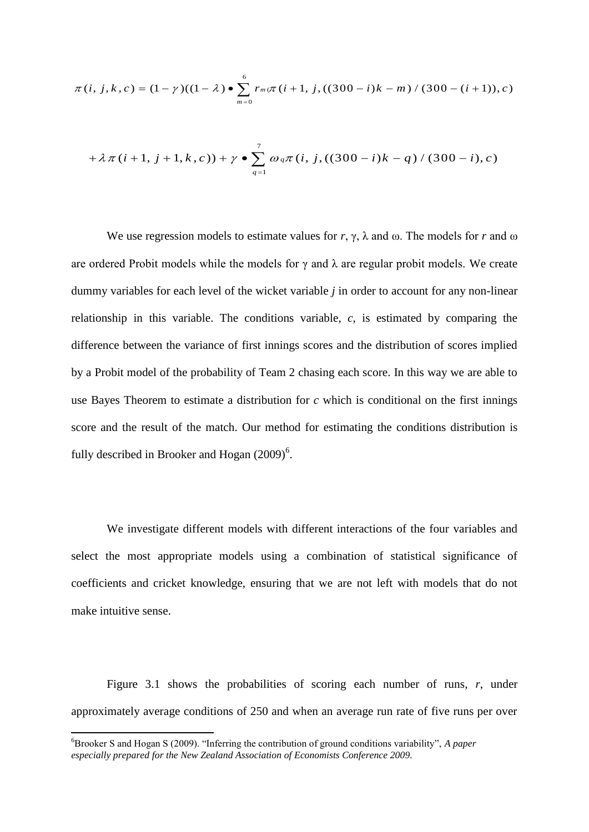$$
\pi(i, j, k, c) = (1 - \gamma)((1 - \lambda) \bullet \sum_{m=0}^{6} r_m \pi(i + 1, j, ((300 - i)k - m) / (300 - (i + 1)), c)
$$

$$
+\lambda \pi (i + 1, j + 1, k, c)) + \gamma \bullet \sum_{q=1}^{7} \omega_q \pi (i, j, ((300 - i)k - q) / (300 - i), c)
$$

We use regression models to estimate values for  $r$ ,  $\gamma$ ,  $\lambda$  and  $\omega$ . The models for *r* and  $\omega$ are ordered Probit models while the models for  $\gamma$  and  $\lambda$  are regular probit models. We create dummy variables for each level of the wicket variable *j* in order to account for any non-linear relationship in this variable. The conditions variable, *c*, is estimated by comparing the difference between the variance of first innings scores and the distribution of scores implied by a Probit model of the probability of Team 2 chasing each score. In this way we are able to use Bayes Theorem to estimate a distribution for *c* which is conditional on the first innings score and the result of the match. Our method for estimating the conditions distribution is fully described in Brooker and Hogan  $(2009)^6$ .

We investigate different models with different interactions of the four variables and select the most appropriate models using a combination of statistical significance of coefficients and cricket knowledge, ensuring that we are not left with models that do not make intuitive sense.

Figure 3.1 shows the probabilities of scoring each number of runs, *r*, under approximately average conditions of 250 and when an average run rate of five runs per over

**.** 

<sup>6</sup>Brooker S and Hogan S (2009). "Inferring the contribution of ground conditions variability", *A paper especially prepared for the New Zealand Association of Economists Conference 2009.*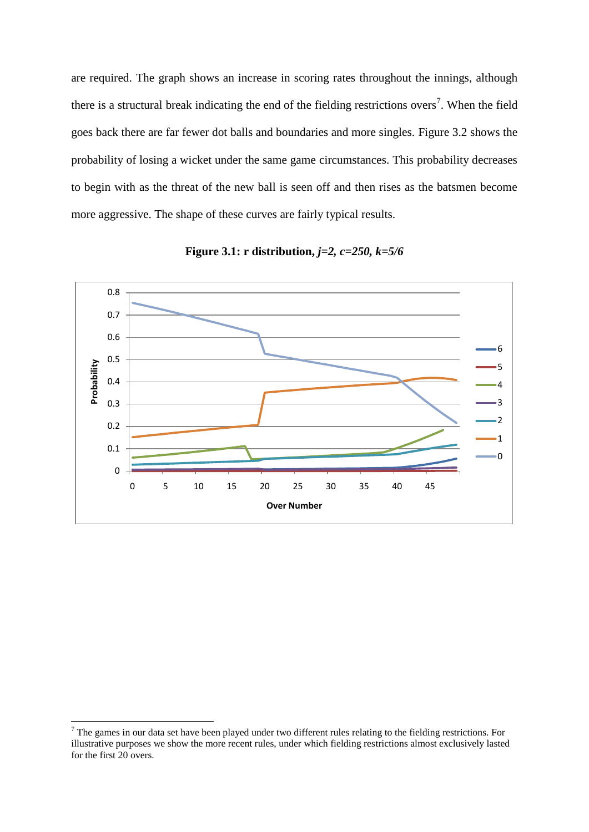are required. The graph shows an increase in scoring rates throughout the innings, although there is a structural break indicating the end of the fielding restrictions overs<sup>7</sup>. When the field goes back there are far fewer dot balls and boundaries and more singles. Figure 3.2 shows the probability of losing a wicket under the same game circumstances. This probability decreases to begin with as the threat of the new ball is seen off and then rises as the batsmen become more aggressive. The shape of these curves are fairly typical results.



**Figure 3.1: r distribution,** *j=2, c=250, k=5/6*

1

 $<sup>7</sup>$  The games in our data set have been played under two different rules relating to the fielding restrictions. For</sup> illustrative purposes we show the more recent rules, under which fielding restrictions almost exclusively lasted for the first 20 overs.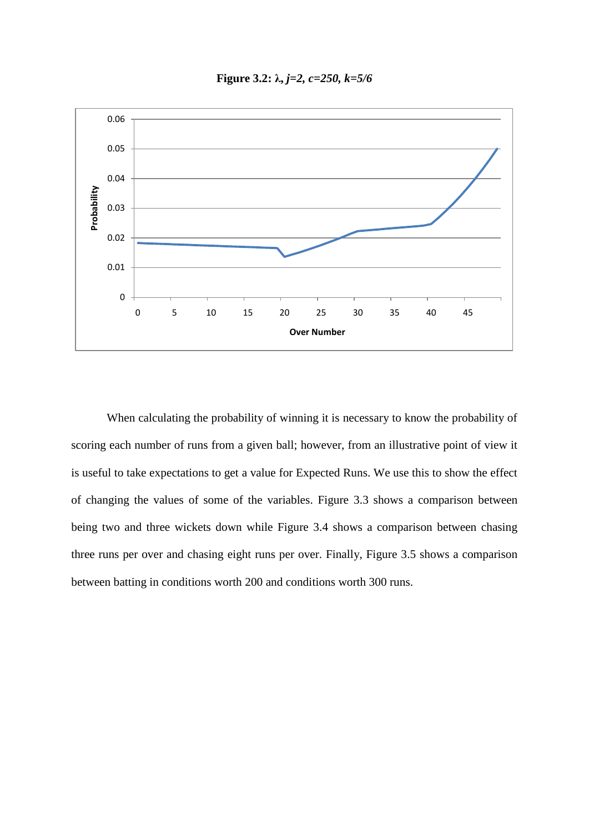**Figure 3.2: λ,** *j=2, c=250, k=5/6*



When calculating the probability of winning it is necessary to know the probability of scoring each number of runs from a given ball; however, from an illustrative point of view it is useful to take expectations to get a value for Expected Runs. We use this to show the effect of changing the values of some of the variables. Figure 3.3 shows a comparison between being two and three wickets down while Figure 3.4 shows a comparison between chasing three runs per over and chasing eight runs per over. Finally, Figure 3.5 shows a comparison between batting in conditions worth 200 and conditions worth 300 runs.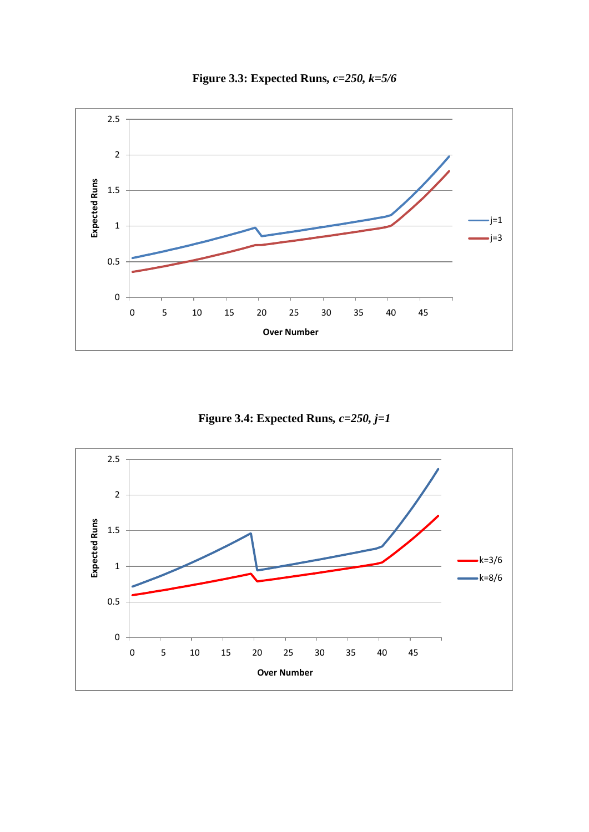

**Figure 3.3: Expected Runs***, c=250, k=5/6*

**Figure 3.4: Expected Runs***, c=250, j=1*

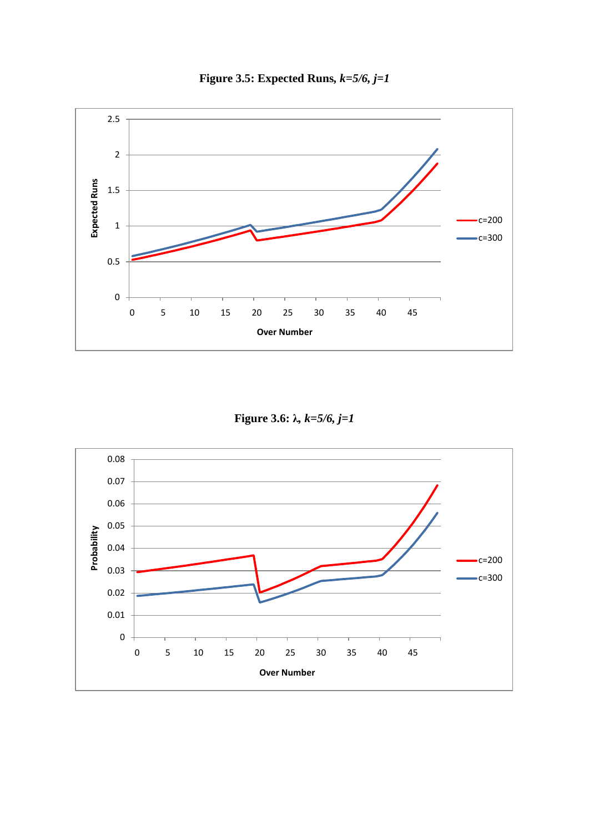

**Figure 3.5: Expected Runs***, k=5/6, j=1*

**Figure 3.6: λ***, k=5/6, j=1*

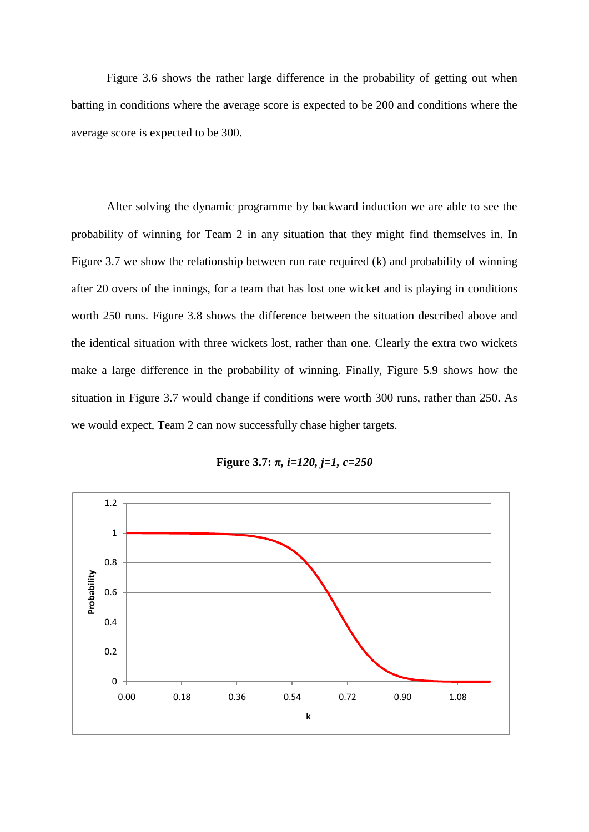Figure 3.6 shows the rather large difference in the probability of getting out when batting in conditions where the average score is expected to be 200 and conditions where the average score is expected to be 300.

After solving the dynamic programme by backward induction we are able to see the probability of winning for Team 2 in any situation that they might find themselves in. In Figure 3.7 we show the relationship between run rate required (k) and probability of winning after 20 overs of the innings, for a team that has lost one wicket and is playing in conditions worth 250 runs. Figure 3.8 shows the difference between the situation described above and the identical situation with three wickets lost, rather than one. Clearly the extra two wickets make a large difference in the probability of winning. Finally, Figure 5.9 shows how the situation in Figure 3.7 would change if conditions were worth 300 runs, rather than 250. As we would expect, Team 2 can now successfully chase higher targets.



**Figure 3.7: π***, i=120, j=1, c=250*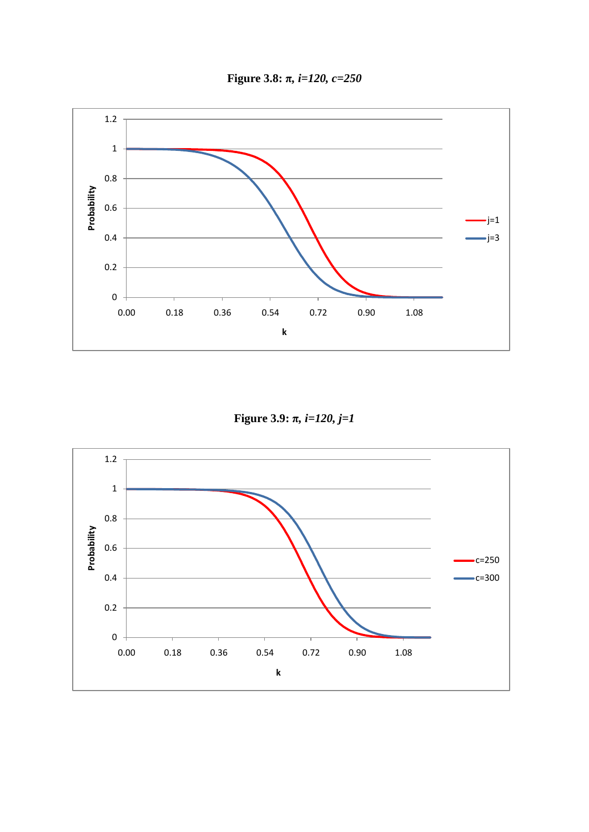**Figure 3.8: π***, i=120, c=250*



**Figure 3.9: π***, i=120, j=1*

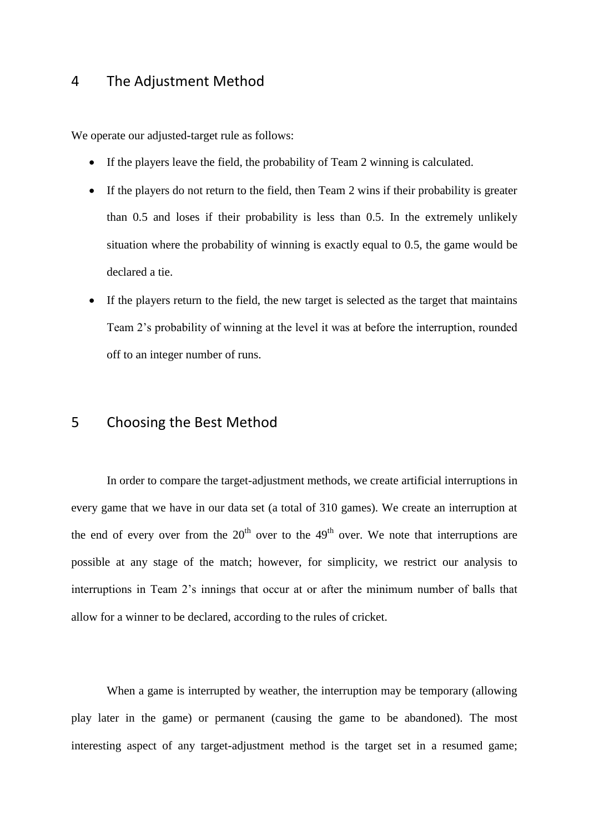#### 4 The Adjustment Method

We operate our adjusted-target rule as follows:

- If the players leave the field, the probability of Team 2 winning is calculated.
- If the players do not return to the field, then Team 2 wins if their probability is greater than 0.5 and loses if their probability is less than 0.5. In the extremely unlikely situation where the probability of winning is exactly equal to 0.5, the game would be declared a tie.
- If the players return to the field, the new target is selected as the target that maintains Team 2's probability of winning at the level it was at before the interruption, rounded off to an integer number of runs.

# 5 Choosing the Best Method

In order to compare the target-adjustment methods, we create artificial interruptions in every game that we have in our data set (a total of 310 games). We create an interruption at the end of every over from the  $20<sup>th</sup>$  over to the  $49<sup>th</sup>$  over. We note that interruptions are possible at any stage of the match; however, for simplicity, we restrict our analysis to interruptions in Team 2's innings that occur at or after the minimum number of balls that allow for a winner to be declared, according to the rules of cricket.

When a game is interrupted by weather, the interruption may be temporary (allowing play later in the game) or permanent (causing the game to be abandoned). The most interesting aspect of any target-adjustment method is the target set in a resumed game;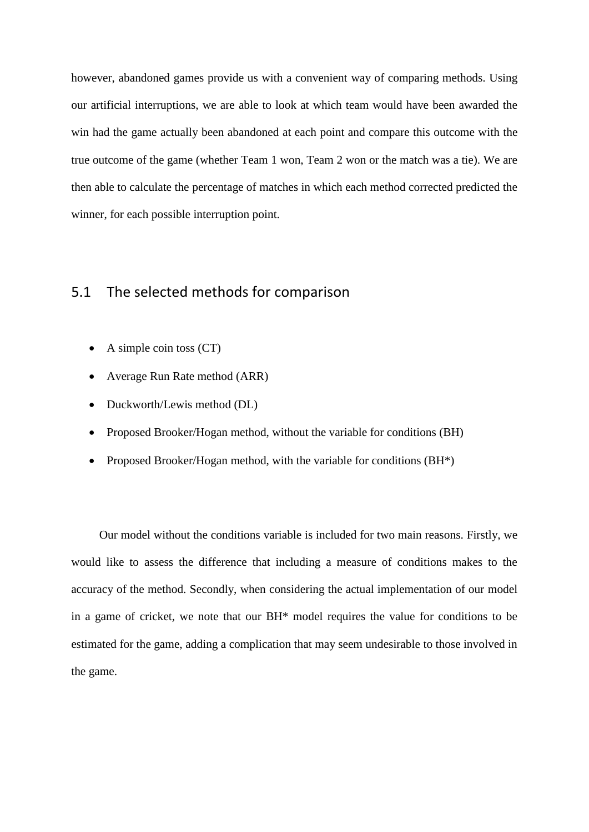however, abandoned games provide us with a convenient way of comparing methods. Using our artificial interruptions, we are able to look at which team would have been awarded the win had the game actually been abandoned at each point and compare this outcome with the true outcome of the game (whether Team 1 won, Team 2 won or the match was a tie). We are then able to calculate the percentage of matches in which each method corrected predicted the winner, for each possible interruption point.

# 5.1 The selected methods for comparison

- $\bullet$  A simple coin toss (CT)
- Average Run Rate method (ARR)
- Duckworth/Lewis method (DL)
- Proposed Brooker/Hogan method, without the variable for conditions (BH)
- Proposed Brooker/Hogan method, with the variable for conditions  $(BH^*)$

Our model without the conditions variable is included for two main reasons. Firstly, we would like to assess the difference that including a measure of conditions makes to the accuracy of the method. Secondly, when considering the actual implementation of our model in a game of cricket, we note that our BH\* model requires the value for conditions to be estimated for the game, adding a complication that may seem undesirable to those involved in the game.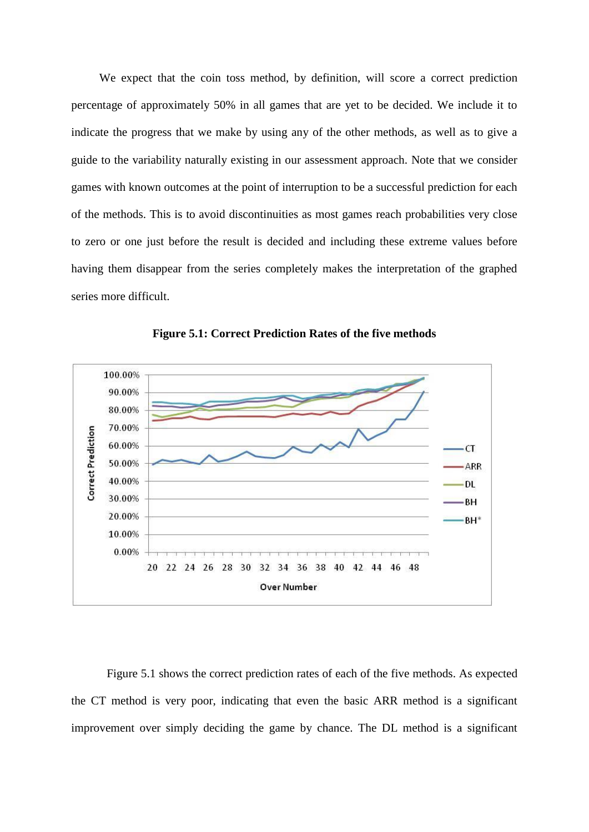We expect that the coin toss method, by definition, will score a correct prediction percentage of approximately 50% in all games that are yet to be decided. We include it to indicate the progress that we make by using any of the other methods, as well as to give a guide to the variability naturally existing in our assessment approach. Note that we consider games with known outcomes at the point of interruption to be a successful prediction for each of the methods. This is to avoid discontinuities as most games reach probabilities very close to zero or one just before the result is decided and including these extreme values before having them disappear from the series completely makes the interpretation of the graphed series more difficult.



**Figure 5.1: Correct Prediction Rates of the five methods**

Figure 5.1 shows the correct prediction rates of each of the five methods. As expected the CT method is very poor, indicating that even the basic ARR method is a significant improvement over simply deciding the game by chance. The DL method is a significant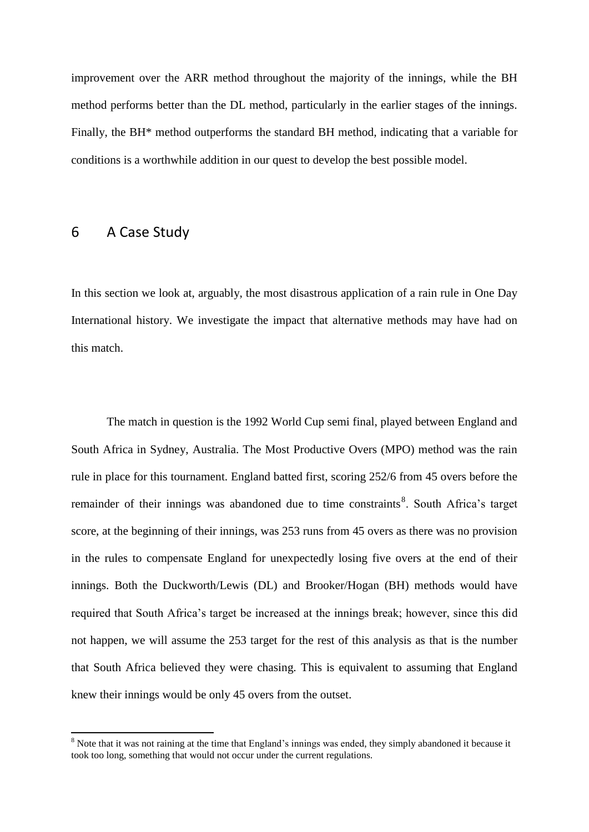improvement over the ARR method throughout the majority of the innings, while the BH method performs better than the DL method, particularly in the earlier stages of the innings. Finally, the BH\* method outperforms the standard BH method, indicating that a variable for conditions is a worthwhile addition in our quest to develop the best possible model.

### 6 A Case Study

**.** 

In this section we look at, arguably, the most disastrous application of a rain rule in One Day International history. We investigate the impact that alternative methods may have had on this match.

The match in question is the 1992 World Cup semi final, played between England and South Africa in Sydney, Australia. The Most Productive Overs (MPO) method was the rain rule in place for this tournament. England batted first, scoring 252/6 from 45 overs before the remainder of their innings was abandoned due to time constraints<sup>8</sup>. South Africa's target score, at the beginning of their innings, was 253 runs from 45 overs as there was no provision in the rules to compensate England for unexpectedly losing five overs at the end of their innings. Both the Duckworth/Lewis (DL) and Brooker/Hogan (BH) methods would have required that South Africa's target be increased at the innings break; however, since this did not happen, we will assume the 253 target for the rest of this analysis as that is the number that South Africa believed they were chasing. This is equivalent to assuming that England knew their innings would be only 45 overs from the outset.

 $8$  Note that it was not raining at the time that England's innings was ended, they simply abandoned it because it took too long, something that would not occur under the current regulations.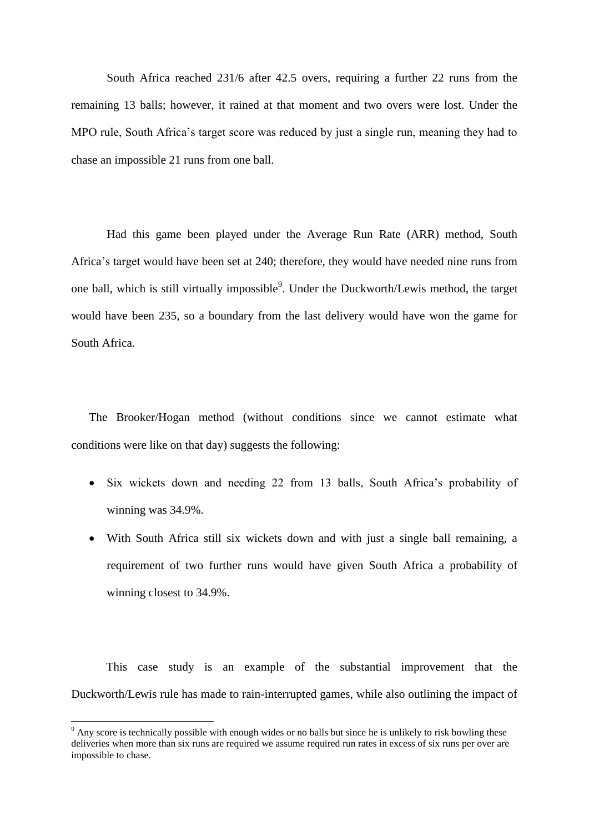South Africa reached 231/6 after 42.5 overs, requiring a further 22 runs from the remaining 13 balls; however, it rained at that moment and two overs were lost. Under the MPO rule, South Africa's target score was reduced by just a single run, meaning they had to chase an impossible 21 runs from one ball.

Had this game been played under the Average Run Rate (ARR) method, South Africa's target would have been set at 240; therefore, they would have needed nine runs from one ball, which is still virtually impossible<sup>9</sup>. Under the Duckworth/Lewis method, the target would have been 235, so a boundary from the last delivery would have won the game for South Africa.

The Brooker/Hogan method (without conditions since we cannot estimate what conditions were like on that day) suggests the following:

- Six wickets down and needing 22 from 13 balls, South Africa's probability of winning was 34.9%.
- With South Africa still six wickets down and with just a single ball remaining, a requirement of two further runs would have given South Africa a probability of winning closest to 34.9%.

This case study is an example of the substantial improvement that the Duckworth/Lewis rule has made to rain-interrupted games, while also outlining the impact of

1

<sup>9</sup> Any score is technically possible with enough wides or no balls but since he is unlikely to risk bowling these deliveries when more than six runs are required we assume required run rates in excess of six runs per over are impossible to chase.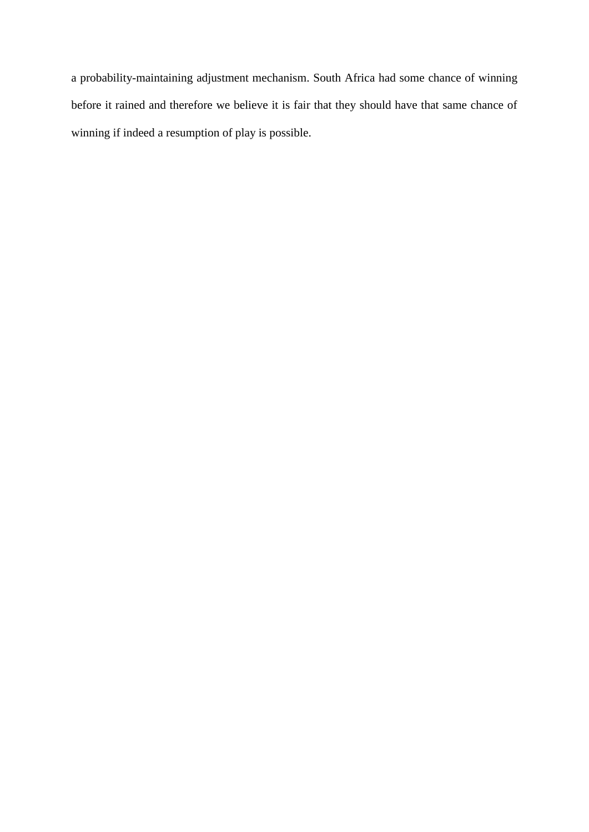a probability-maintaining adjustment mechanism. South Africa had some chance of winning before it rained and therefore we believe it is fair that they should have that same chance of winning if indeed a resumption of play is possible.